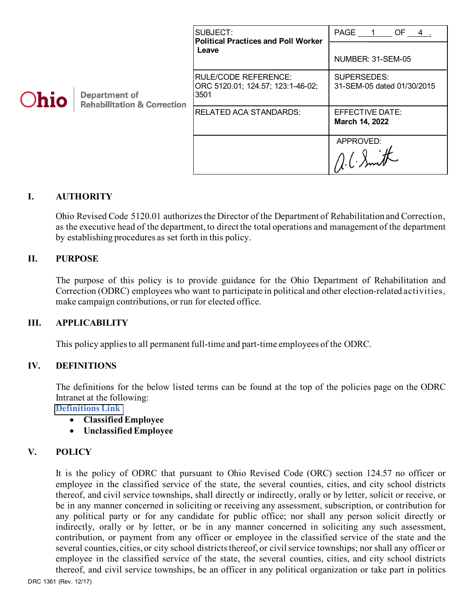| Ohio | <b>Department of</b><br><b>Rehabilitation &amp; Correction</b> | SUBJECT:<br><b>Political Practices and Poll Worker</b><br>Leave   | PAGE 1<br>OF 4.                           |
|------|----------------------------------------------------------------|-------------------------------------------------------------------|-------------------------------------------|
|      |                                                                |                                                                   | NUMBER: 31-SEM-05                         |
|      |                                                                | RULE/CODE REFERENCE:<br>ORC 5120.01; 124.57; 123:1-46-02;<br>3501 | SUPERSEDES:<br>31-SEM-05 dated 01/30/2015 |
|      |                                                                | <b>RELATED ACA STANDARDS:</b>                                     | EFFECTIVE DATE:<br>March 14, 2022         |
|      |                                                                |                                                                   | APPROVED:                                 |

## **I. AUTHORITY**

Ohio Revised Code 5120.01 authorizes the Director of the Department of Rehabilitation and Correction, as the executive head of the department, to direct the total operations and management of the department by establishing procedures as set forth in this policy.

#### **II. PURPOSE**

The purpose of this policy is to provide guidance for the Ohio Department of Rehabilitation and Correction (ODRC) employees who want to participate in political and other election-related activities, make campaign contributions, or run for elected office.

#### **III. APPLICABILITY**

This policy applies to all permanent full-time and part-time employees of the ODRC.

#### **IV. DEFINITIONS**

The definitions for the below listed terms can be found at the top of the policies page on the ODRC Intranet at the following:

**[Definitions Link](http://intra/policies/pagecontent/files/Policy%20Definition%20Spreadsheet%20-%20Intranet%202021.pdf)** 

- **Classified Employee**
- **Unclassified Employee**

#### **V. POLICY**

It is the policy of ODRC that pursuant to Ohio Revised Code (ORC) section 124.57 no officer or employee in the classified service of the state, the several counties, cities, and city school districts thereof, and civil service townships, shall directly or indirectly, orally or by letter, solicit or receive, or be in any manner concerned in soliciting or receiving any assessment, subscription, or contribution for any political party or for any candidate for public office; nor shall any person solicit directly or indirectly, orally or by letter, or be in any manner concerned in soliciting any such assessment, contribution, or payment from any officer or employee in the classified service of the state and the several counties, cities, or city school districts thereof, or civil service townships; nor shall any officer or employee in the classified service of the state, the several counties, cities, and city school districts thereof, and civil service townships, be an officer in any political organization or take part in politics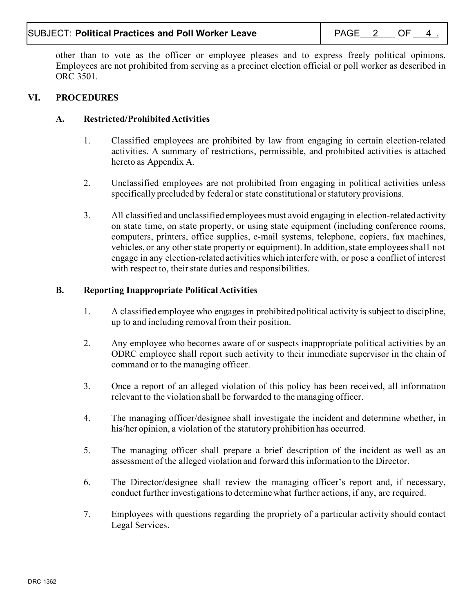# SUBJECT: Political Practices and Poll Worker Leave **Page 1 PAGE 2 OF 4** .

other than to vote as the officer or employee pleases and to express freely political opinions. Employees are not prohibited from serving as a precinct election official or poll worker as described in ORC 3501.

# **VI. PROCEDURES**

# **A. Restricted/Prohibited Activities**

- 1. Classified employees are prohibited by law from engaging in certain election-related activities. A summary of restrictions, permissible, and prohibited activities is attached hereto as Appendix A.
- 2. Unclassified employees are not prohibited from engaging in political activities unless specifically precluded by federal or state constitutional or statutory provisions.
- 3. All classified and unclassified employees must avoid engaging in election-related activity on state time, on state property, or using state equipment (including conference rooms, computers, printers, office supplies, e-mail systems, telephone, copiers, fax machines, vehicles, or any other state property or equipment). In addition, state employees shall not engage in any election-related activities which interfere with, or pose a conflict of interest with respect to, their state duties and responsibilities.

## **B. Reporting Inappropriate Political Activities**

- 1. A classified employee who engages in prohibited political activity is subject to discipline, up to and including removal from their position.
- 2. Any employee who becomes aware of or suspects inappropriate political activities by an ODRC employee shall report such activity to their immediate supervisor in the chain of command or to the managing officer.
- 3. Once a report of an alleged violation of this policy has been received, all information relevant to the violation shall be forwarded to the managing officer.
- 4. The managing officer/designee shall investigate the incident and determine whether, in his/her opinion, a violation of the statutory prohibition has occurred.
- 5. The managing officer shall prepare a brief description of the incident as well as an assessment of the alleged violation and forward this information to the Director.
- 6. The Director/designee shall review the managing officer's report and, if necessary, conduct further investigations to determine what further actions, if any, are required.
- 7. Employees with questions regarding the propriety of a particular activity should contact Legal Services.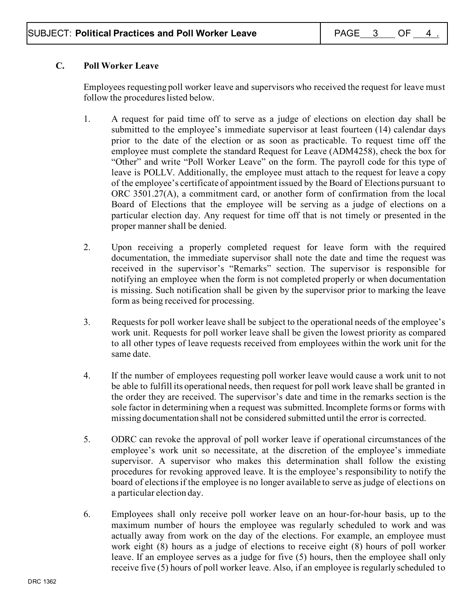# **C. Poll Worker Leave**

Employees requesting poll worker leave and supervisors who received the request for leave must follow the procedures listed below.

- 1. A request for paid time off to serve as a judge of elections on election day shall be submitted to the employee's immediate supervisor at least fourteen (14) calendar days prior to the date of the election or as soon as practicable. To request time off the employee must complete the standard Request for Leave (ADM4258), check the box for "Other" and write "Poll Worker Leave" on the form. The payroll code for this type of leave is POLLV. Additionally, the employee must attach to the request for leave a copy of the employee's certificate of appointment issued by the Board of Elections pursuant to ORC 3501.27(A), a commitment card, or another form of confirmation from the local Board of Elections that the employee will be serving as a judge of elections on a particular election day. Any request for time off that is not timely or presented in the proper manner shall be denied.
- 2. Upon receiving a properly completed request for leave form with the required documentation, the immediate supervisor shall note the date and time the request was received in the supervisor's "Remarks" section. The supervisor is responsible for notifying an employee when the form is not completed properly or when documentation is missing. Such notification shall be given by the supervisor prior to marking the leave form as being received for processing.
- 3. Requests for poll worker leave shall be subject to the operational needs of the employee's work unit. Requests for poll worker leave shall be given the lowest priority as compared to all other types of leave requests received from employees within the work unit for the same date.
- 4. If the number of employees requesting poll worker leave would cause a work unit to not be able to fulfill its operational needs, then request for poll work leave shall be granted in the order they are received. The supervisor's date and time in the remarks section is the sole factor in determining when a request was submitted. Incomplete forms or forms with missing documentation shall not be considered submitted until the error is corrected.
- 5. ODRC can revoke the approval of poll worker leave if operational circumstances of the employee's work unit so necessitate, at the discretion of the employee's immediate supervisor. A supervisor who makes this determination shall follow the existing procedures for revoking approved leave. It is the employee's responsibility to notify the board of elections if the employee is no longer available to serve as judge of elections on a particular election day.
- 6. Employees shall only receive poll worker leave on an hour-for-hour basis, up to the maximum number of hours the employee was regularly scheduled to work and was actually away from work on the day of the elections. For example, an employee must work eight (8) hours as a judge of elections to receive eight (8) hours of poll worker leave. If an employee serves as a judge for five (5) hours, then the employee shall only receive five (5) hours of poll worker leave. Also, if an employee is regularly scheduled to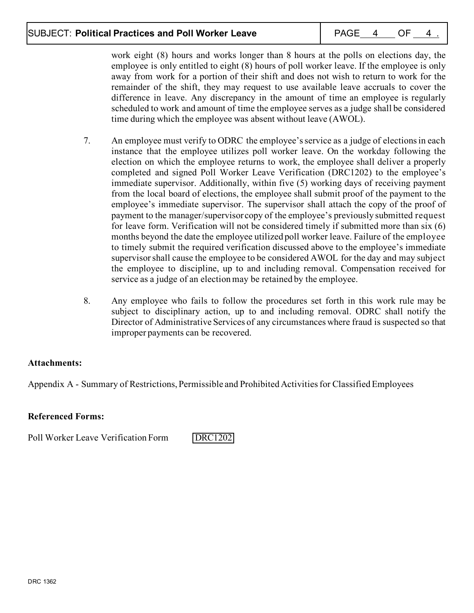# SUBJECT: Political Practices and Poll Worker Leave **Page 14 CL 14 CL 4 2 OF 4**

work eight (8) hours and works longer than 8 hours at the polls on elections day, the employee is only entitled to eight (8) hours of poll worker leave. If the employee is only away from work for a portion of their shift and does not wish to return to work for the remainder of the shift, they may request to use available leave accruals to cover the difference in leave. Any discrepancy in the amount of time an employee is regularly scheduled to work and amount of time the employee serves as a judge shall be considered time during which the employee was absent without leave (AWOL).

- 7. An employee must verify to ODRC the employee's service as a judge of elections in each instance that the employee utilizes poll worker leave. On the workday following the election on which the employee returns to work, the employee shall deliver a properly completed and signed Poll Worker Leave Verification (DRC1202) to the employee's immediate supervisor. Additionally, within five (5) working days of receiving payment from the local board of elections, the employee shall submit proof of the payment to the employee's immediate supervisor. The supervisor shall attach the copy of the proof of payment to the manager/supervisor copy of the employee's previously submitted request for leave form. Verification will not be considered timely if submitted more than six (6) months beyond the date the employee utilized poll worker leave. Failure of the employee to timely submit the required verification discussed above to the employee's immediate supervisor shall cause the employee to be considered AWOL for the day and may subject the employee to discipline, up to and including removal. Compensation received for service as a judge of an election may be retained by the employee.
- 8. Any employee who fails to follow the procedures set forth in this work rule may be subject to disciplinary action, up to and including removal. ODRC shall notify the Director of Administrative Services of any circumstances where fraud is suspected so that improper payments can be recovered.

# **Attachments:**

Appendix A - Summary of Restrictions, Permissible and Prohibited Activities for Classified Employees

## **Referenced Forms:**

Poll Worker Leave Verification Form [DRC1202](http://intra/policy/forms/DRC1202.pdf)